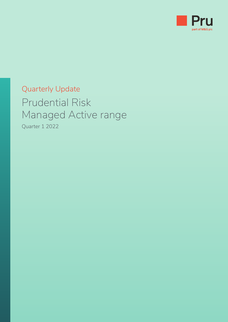

# Quarterly Update Prudential Risk Managed Active range

Quarter 1 2022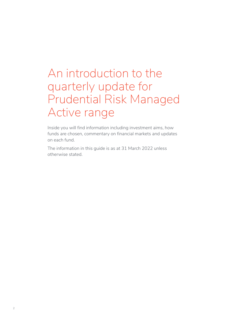# An introduction to the quarterly update for Prudential Risk Managed Active range

Inside you will find information including investment aims, how funds are chosen, commentary on financial markets and updates on each fund.

The information in this guide is as at 31 March 2022 unless otherwise stated.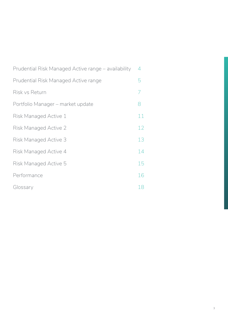| Prudential Risk Managed Active range – availability | 4  |
|-----------------------------------------------------|----|
| Prudential Risk Managed Active range                | 5  |
| Risk vs Return                                      | 7  |
| Portfolio Manager – market update                   | 8  |
| Risk Managed Active 1                               | 11 |
| Risk Managed Active 2                               | 12 |
| Risk Managed Active 3                               | 13 |
| Risk Managed Active 4                               | 14 |
| Risk Managed Active 5                               | 15 |
| Performance                                         | 16 |
| Glossary                                            | 18 |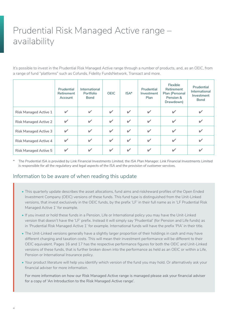## <span id="page-3-0"></span>Prudential Risk Managed Active range – availability

It's possible to invest in the Prudential Risk Managed Active range through a number of products, and, as an OEIC, from a range of fund "platforms" such as Cofunds, Fidelity FundsNetwork, Transact and more.

|                              | Prudential<br><b>Retirement</b><br>Account | International<br><b>Portfolio</b><br><b>Bond</b> | <b>OEIC</b>  | $ISA*$                   | Prudential<br>Investment<br>Plan | <b>Flexible</b><br>Retirement<br>Plan (Personal<br>Pension &<br>Drawdown) | Prudential<br>International<br>Investment<br><b>Bond</b> |
|------------------------------|--------------------------------------------|--------------------------------------------------|--------------|--------------------------|----------------------------------|---------------------------------------------------------------------------|----------------------------------------------------------|
| <b>Risk Managed Active 1</b> | ✔                                          | $\checkmark$                                     | $\checkmark$ | $\mathbf{v}$             | $\checkmark$                     |                                                                           |                                                          |
| <b>Risk Managed Active 2</b> |                                            | $\checkmark$                                     | $\checkmark$ | $\mathbf{v}$             | $\checkmark$                     |                                                                           |                                                          |
| Risk Managed Active 3        |                                            | V                                                | ✓            | $\mathbf{v}$             | $\checkmark$                     |                                                                           |                                                          |
| <b>Risk Managed Active 4</b> | ✔                                          | V                                                | $\checkmark$ | $\mathbf{v}$             | $\checkmark$                     | v                                                                         |                                                          |
| <b>Risk Managed Active 5</b> |                                            | ✓                                                | v            | $\overline{\mathscr{L}}$ | $\overline{\mathscr{L}}$         |                                                                           |                                                          |

*\* The Prudential ISA is provided by Link Financial Investments Limited, the ISA Plan Manager. Link Financial Investments Limited is responsible for all the regulatory and legal aspects of the ISA and the provision of customer services.*

#### Information to be aware of when reading this update

- This quarterly update describes the asset allocations, fund aims and risk/reward profiles of the Open Ended Investment Company (OEIC) versions of these funds. This fund type is distinguished from the Unit-Linked versions, that invest exclusively in the OEIC funds, by the prefix 'LF' in their full name as in 'LF Prudential Risk Managed Active 1' for example.
- If you invest or hold these funds in a Pension, Life or International policy you may have the Unit-Linked version that doesn't have the 'LF' prefix. Instead it will simply say 'Prudential' (for Pension and Life funds) as in 'Prudential Risk Managed Active 1' for example. International funds will have the prefix 'PIA' in their title.
- The Unit-Linked versions generally have a slightly larger proportion of their holdings in cash and may have different charging and taxation costs. This will mean their investment performance will be different to their OEIC equivalent. Pages 16 and 17 has the respective performance figures for both the OEIC and Unit-Linked versions of these funds, that is further broken down into the performance as held as an OEIC or within a Life, Pension or International Insurance policy.
- Your product literature will help you identify which version of the fund you may hold. Or alternatively ask your financial adviser for more information.

For more information on how our Risk Managed Active range is managed please ask your financial adviser for a copy of 'An Introduction to the Risk Managed Active range'.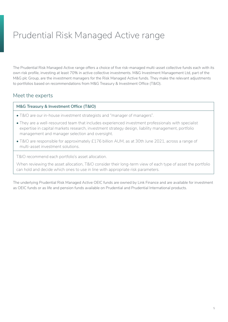## <span id="page-4-0"></span>Prudential Risk Managed Active range

The Prudential Risk Managed Active range offers a choice of five risk-managed multi-asset collective funds each with its own risk profile, investing at least 70% in active collective investments. M&G Investment Management Ltd, part of the M&G plc Group, are the investment managers for the Risk Managed Active funds. They make the relevant adjustments to portfolios based on recommendations from M&G Treasury & Investment Office (T&IO).

#### Meet the experts

#### **M&G Treasury & Investment Office (T&IO)**

- T&IO are our in-house investment strategists and "manager of managers".
- They are a well-resourced team that includes experienced investment professionals with specialist expertise in capital markets research, investment strategy design, liability management, portfolio management and manager selection and oversight.
- T&IO are responsible for approximately £176 billion AUM, as at 30th June 2021, across a range of multi-asset investment solutions.

T&IO recommend each portfolio's asset allocation.

When reviewing the asset allocation, T&IO consider their long-term view of each type of asset the portfolio can hold and decide which ones to use in line with appropriate risk parameters.

The underlying Prudential Risk Managed Active OEIC funds are owned by Link Finance and are available for investment as OEIC funds or as life and pension funds available on Prudential and Prudential International products.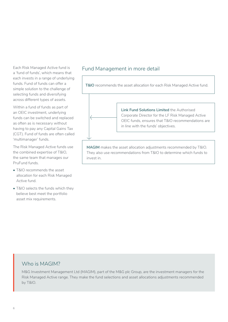Each Risk Managed Active fund is a 'fund of funds', which means that each invests in a range of underlying funds. Fund of funds can offer a simple solution to the challenge of selecting funds and diversifying across different types of assets.

Within a fund of funds as part of an OEIC investment, underlying funds can be switched and replaced as often as is necessary without having to pay any Capital Gains Tax (CGT). Fund of funds are often called 'multimanager' funds.

The Risk Managed Active funds use the combined expertise of T&IO, the same team that manages our PruFund funds.

- T&IO recommends the asset allocation for each Risk Managed Active fund.
- T&IO selects the funds which they believe best meet the portfolio asset mix requirements.

#### Fund Management in more detail



**MAGIM** makes the asset allocation adjustments recommended by T&IO. They also use recommendations from T&IO to determine which funds to invest in.

#### Who is MAGIM?

M&G Investment Management Ltd (MAGIM), part of the M&G plc Group, are the investment managers for the Risk Managed Active range. They make the fund selections and asset allocations adjustments recommended by T&IO.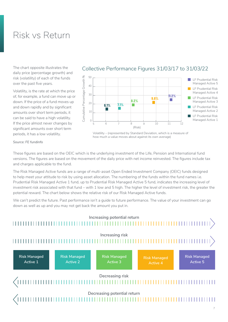## <span id="page-6-0"></span>Risk vs Return

The chart opposite illustrates the daily price (percentage growth) and risk (volatility) of each of the funds over the past five years.

Volatility, is the rate at which the price of, for example, a fund can move up or down. If the price of a fund moves up and down rapidly and by significant amounts over short term periods, it can be said to have a high volatility. If the price almost never changes by significant amounts over short term periods, it has a low volatility.



#### Collective Performance Figures 31/03/17 to 31/03/22

Volatility – (represented by Standard Deviation, which is a measure of how much a value moves about against its own average)

*Source: FE fundinfo*

These figures are based on the OEIC which is the underlying investment of the Life, Pension and International fund versions. The figures are based on the movement of the daily price with net income reinvested. The figures include tax and charges applicable to the fund.

The Risk Managed Active funds are a range of multi-asset Open Ended Investment Company (OEIC) funds designed to help meet your attitude to risk by using asset allocation. The numbering of the funds within the fund names i.e. Prudential Risk Managed Active 1 fund, up to Prudential Risk Managed Active 5 fund, indicates the increasing level of investment risk associated with that fund – with 1 low and 5 high. The higher the level of investment risk, the greater the potential reward. The chart below shows the relative risk of our Risk Managed Active funds.

We can't predict the future. Past performance isn't a guide to future performance. The value of your investment can go down as well as up and you may not get back the amount you put in.

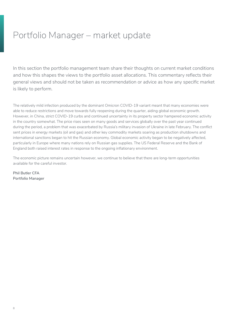## <span id="page-7-0"></span>Portfolio Manager – market update

In this section the portfolio management team share their thoughts on current market conditions and how this shapes the views to the portfolio asset allocations. This commentary reflects their general views and should not be taken as recommendation or advice as how any specific market is likely to perform.

The relatively mild infection produced by the dominant Omicron COVID-19 variant meant that many economies were able to reduce restrictions and move towards fully reopening during the quarter, aiding global economic growth. However, in China, strict COVID-19 curbs and continued uncertainty in its property sector hampered economic activity in the country somewhat. The price rises seen on many goods and services globally over the past year continued during the period, a problem that was exacerbated by Russia's military invasion of Ukraine in late February. The conflict sent prices in energy markets (oil and gas) and other key commodity markets soaring as production shutdowns and international sanctions began to hit the Russian economy. Global economic activity began to be negatively affected, particularly in Europe where many nations rely on Russian gas supplies. The US Federal Reserve and the Bank of England both raised interest rates in response to the ongoing inflationary environment.

The economic picture remains uncertain however, we continue to believe that there are long-term opportunities available for the careful investor.

**Phil Butler CFA Portfolio Manager**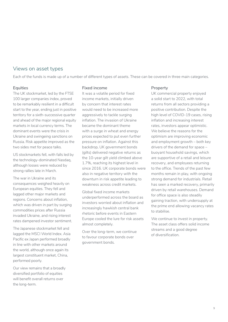#### Views on asset types

Each of the funds is made up of a number of different types of assets. These can be covered in three main categories.

#### **Equities**

The UK stockmarket, led by the FTSE 100 larger companies index, proved to be remarkably resilient in a difficult start to the year, ending just in positive territory for a sixth-successive quarter and ahead of the major regional equity markets in local currency terms. The dominant events were the crisis in Ukraine and swingeing sanctions on Russia. Risk appetite improved as the two sides met for peace talks.

US stockmarkets fell, with falls led by the technology-dominated Nasdaq, although losses were reduced by strong rallies late in March.

The war in Ukraine and its consequences weighed heavily on European equities. They fell and lagged other major markets and regions. Concerns about inflation, which was driven in part by surging commodities prices after Russia invaded Ukraine, and rising interest rates dampened investor sentiment.

The Japanese stockmarket fell and lagged the MSCI World Index. Asia Pacific ex Japan performed broadly in line with other markets around the world, although once again its largest constituent market, China, performed poorly.

Our view remains that a broadly diversified portfolio of equities will benefit overall returns over the long-term.

#### **Fixed income**

It was a volatile period for fixed income markets, initially driven by concern that interest rates would need to be increased more aggressively to tackle surging inflation. The invasion of Ukraine became the dominant theme with a surge in wheat and energy prices expected to put even further pressure on inflation. Against this backdrop, UK government bonds (gilts) delivered negative returns as the 10-year gilt yield climbed above 1.7%, reaching its highest level in since 2016. UK corporate bonds were also in negative territory with the downturn in risk appetite leading to weakness across credit markets.

Global fixed income markets underperformed across the board as investors worried about inflation and increasingly hawkish central bank rhetoric before events in Eastern Europe cooled the lure for risk assets almost completely.

Over the long-term, we continue to favour corporate bonds over government bonds.

#### **Property**

UK commercial property enjoyed a solid start to 2022, with total returns from all sectors providing a positive contribution. Despite the high level of COVID-19 cases, rising inflation and increasing interest rates, investors appear optimistic. We believe the reasons for the optimism are improving economic and employment growth – both key drivers of the demand for space – buoyant household savings, which are supportive of a retail and leisure recovery, and employees returning to the office. Trends of the past few months remain in play, with ongoing strong demand for industrials. Retail has seen a marked recovery, primarily driven by retail warehouses. Demand for office space is also steadily gaining traction, with undersupply at the prime end allowing vacancy rates to stabilise.

We continue to invest in property. The asset class offers solid income streams and a good degree of diversification.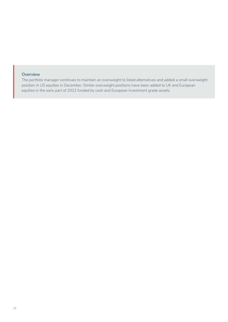#### **Overview**

The portfolio manager continues to maintain an overweight to listed alternatives and added a small overweight position in US equities in December. Similar overweight positions have been added to UK and European equities in the early part of 2022 funded by cash and European investment grade assets.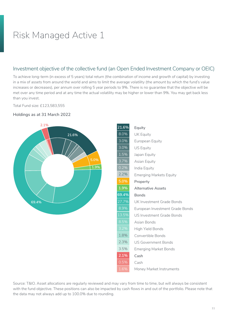#### <span id="page-10-0"></span>Investment objective of the collective fund (an Open Ended Investment Company or OEIC)

To achieve long-term (in excess of 5 years) total return (the combination of income and growth of capital) by investing in a mix of assets from around the world and aims to limit the average volatility (the amount by which the fund's value increases or decreases), per annum over rolling 5 year periods to 9%. There is no guarantee that the objective will be met over any time period and at any time the actual volatility may be higher or lower than 9%. You may get back less than you invest.

Total Fund size: £123,583,555





| 21.6% | Equity                                               |
|-------|------------------------------------------------------|
| 8.0%  | <b>UK Equity</b>                                     |
| 3.0%  | European Equity                                      |
| 3.0%  | <b>US Equity</b>                                     |
| 1.5%  | Japan Equity                                         |
| 3.7%  | Asian Equity                                         |
| 0.2%  | India Equity                                         |
| 2.2%  | <b>Emerging Markets Equity</b>                       |
| 5.0%  | Property                                             |
| 1.9%  | <b>Alternative Assets</b>                            |
| 69.4% | <b>Bonds</b>                                         |
| 27.7% | UK Investment Grade Bonds                            |
| 8.9%  | European Investment Grade Bonds                      |
| 13.5% | <b>US Investment Grade Bonds</b>                     |
| 8.5%  | Asian Bonds                                          |
| 3.2%  | High Yield Bonds                                     |
| 1.8%  | Convertible Bonds                                    |
| 2.3%  | <b>US Government Bonds</b>                           |
| 3.5%  | <b>Emerging Market Bonds</b>                         |
| 2.1%  | Cash                                                 |
| 0.5%  | Cash                                                 |
| 1.6%  | Money Market Instruments                             |
|       | wwary from time to time but will always be consister |
|       |                                                      |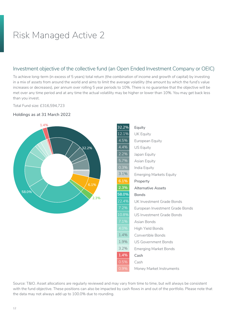#### <span id="page-11-0"></span>Investment objective of the collective fund (an Open Ended Investment Company or OEIC)

To achieve long-term (in excess of 5 years) total return (the combination of income and growth of capital) by investing in a mix of assets from around the world and aims to limit the average volatility (the amount by which the fund's value increases or decreases), per annum over rolling 5 year periods to 10%. There is no guarantee that the objective will be met over any time period and at any time the actual volatility may be higher or lower than 10%. You may get back less than you invest.

Total Fund size: £316,594,723





| 32.2%   | Equity                           |
|---------|----------------------------------|
| 12.1%   | <b>UK Equity</b>                 |
| $4.5\%$ | European Equity                  |
| 4.4%    | <b>US Equity</b>                 |
| 2.2%    | Japan Equity                     |
| $5.7\%$ | Asian Equity                     |
| 0.3%    | India Equity                     |
| 3.1%    | <b>Emerging Markets Equity</b>   |
| 6.1%    | Property                         |
| 2.3%    | <b>Alternative Assets</b>        |
| 58.0%   | <b>Bonds</b>                     |
| 22.4%   | UK Investment Grade Bonds        |
| 7.2%    | European Investment Grade Bonds  |
| 10.8%   | <b>US Investment Grade Bonds</b> |
| 7.1%    | Asian Bonds                      |
| 4.0%    | <b>High Yield Bonds</b>          |
| 1.4%    | Convertible Bonds                |
| 1.9%    | <b>US Government Bonds</b>       |
| 3.2%    | <b>Emerging Market Bonds</b>     |
| 1.4%    | Cash                             |
| 0.5%    | Cash                             |
| 0.9%    | Money Market Instruments         |
|         |                                  |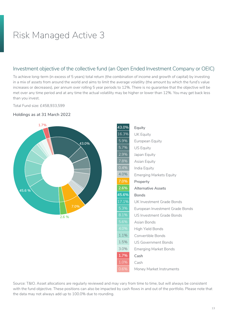#### <span id="page-12-0"></span>Investment objective of the collective fund (an Open Ended Investment Company or OEIC)

To achieve long-term (in excess of 5 years) total return (the combination of income and growth of capital) by investing in a mix of assets from around the world and aims to limit the average volatility (the amount by which the fund's value increases or decreases), per annum over rolling 5 year periods to 12%. There is no guarantee that the objective will be met over any time period and at any time the actual volatility may be higher or lower than 12%. You may get back less than you invest.

Total Fund size: £458,933,599





| 43.0%   | Equity                          |
|---------|---------------------------------|
| 16.3%   | UK Equity                       |
| 5.9%    | European Equity                 |
| 5.7%    | <b>US Equity</b>                |
| 2.9%    | Japan Equity                    |
| 7.8%    | Asian Equity                    |
| 0.4%    | India Equity                    |
| 4.0%    | <b>Emerging Markets Equity</b>  |
| $7.0\%$ | Property                        |
| 2.6%    | <b>Alternative Assets</b>       |
| 45.6%   | <b>Bonds</b>                    |
| 17.1%   | UK Investment Grade Bonds       |
| 5.3%    | European Investment Grade Bonds |
| 8.1%    | US Investment Grade Bonds       |
| 5.6%    | Asian Bonds                     |
| 4.0%    | <b>High Yield Bonds</b>         |
| 1.1%    | Convertible Bonds               |
| 1.5%    | <b>US Government Bonds</b>      |
| 3.0%    | <b>Emerging Market Bonds</b>    |
| 1.7%    | Cash                            |
| 1.0%    | Cash                            |
| 0.6%    | Money Market Instruments        |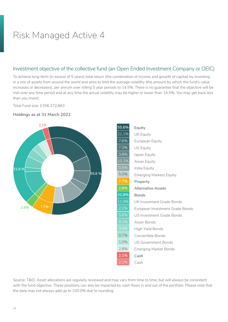#### <span id="page-13-0"></span>Investment objective of the collective fund (an Open Ended Investment Company or OEIC)

To achieve long-term (in excess of 5 years) total return (the combination of income and growth of capital) by investing in a mix of assets from around the world and aims to limit the average volatility (the amount by which the fund's value increases or decreases), per annum over rolling 5 year periods to 14.5%. There is no guarantee that the objective will be met over any time period and at any time the actual volatility may be higher or lower than 14.5%. You may get back less than you invest.

Total Fund size: £356,372,663



#### **Holdings as at 31 March 2022**

| 55.6%   | Equity                          |
|---------|---------------------------------|
| 21.1%   | <b>UK Equity</b>                |
| 7.6%    | European Equity                 |
| 7.3%    | <b>US Equity</b>                |
| $3.8\%$ | Japan Equity                    |
| 10.2%   | Asian Equity                    |
| 0.5%    | India Equity                    |
| 5.0%    | <b>Emerging Markets Equity</b>  |
| 7.7%    | Property                        |
| 2.8%    | <b>Alternative Assets</b>       |
| 31.8%   | <b>Bonds</b>                    |
| 11.9%   | UK Investment Grade Bonds       |
| 2.2%    | European Investment Grade Bonds |
| 5.6%    | US Investment Grade Bonds       |
| 4.1%    | Asian Bonds                     |
| 3.5%    | <b>High Yield Bonds</b>         |
| 0.7%    | Convertible Bonds               |
| 1.0%    | US Government Bonds             |
| 2.8%    | <b>Emerging Market Bonds</b>    |
| 2.1%    | Cash                            |
| 2.1%    | Cash                            |
|         |                                 |
|         |                                 |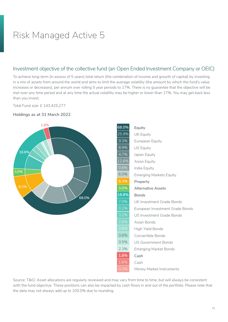#### <span id="page-14-0"></span>Investment objective of the collective fund (an Open Ended Investment Company or OEIC)

To achieve long-term (in excess of 5 years) total return (the combination of income and growth of capital) by investing in a mix of assets from around the world and aims to limit the average volatility (the amount by which the fund's value increases or decreases), per annum over rolling 5 year periods to 17%. There is no guarantee that the objective will be met over any time period and at any time the actual volatility may be higher or lower than 17%. You may get back less than you invest.

Total Fund size: £ 143,425,277



**Holdings as at 31 March 2022**

with the fund objective. These positions can also be impacted by cash flows in and out of the portfolio. Please note that the data may not always add up to 100.0% due to rounding.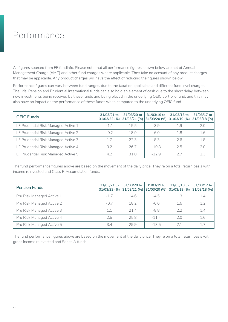### <span id="page-15-0"></span>Performance

All figures sourced from FE fundinfo. Please note that all performance figures shown below are net of Annual Management Charge (AMC) and other fund charges where applicable. They take no account of any product charges that may be applicable. Any product charges will have the effect of reducing the figures shown below.

Performance figures can vary between fund ranges, due to the taxation applicable and different fund level charges. The Life, Pension and Prudential International funds can also hold an element of cash due to the short delay between new investments being received by these funds and being placed in the underlying OEIC portfolio fund, and this may also have an impact on the performance of these funds when compared to the underlying OEIC fund.

| <b>OEIC Funds</b>                   | 31/03/21 to<br>31/03/22 (%) | 31/03/20 to<br>31/03/21 (%) | 31/03/19 to<br>31/03/20 (%) | 31/03/18 to<br>31/03/19 (%) | 31/03/17 to<br>31/03/18 (%) |
|-------------------------------------|-----------------------------|-----------------------------|-----------------------------|-----------------------------|-----------------------------|
| LF Prudential Risk Managed Active 1 | $-1.1$                      | 15.5                        | $-39$                       | 1.9                         | 7.0                         |
| LF Prudential Risk Managed Active 2 | $-0.2$                      | 18.9                        | $-6.0$                      | 1.8                         | 1.6                         |
| LF Prudential Risk Managed Active 3 | 1.7                         | 223                         | $-83$                       | 2.6                         | 1.8                         |
| LF Prudential Risk Managed Active 4 | $3.2^{\circ}$               | 267                         | $-10.8$                     | 2.5                         | 7.0                         |
| LF Prudential Risk Managed Active 5 | 4.2                         | 310                         | $-12.9$                     | 27                          | 7.3                         |

The fund performance figures above are based on the movement of the daily price. They're on a total return basis with income reinvested and Class R Accumulation funds.

| <b>Pension Funds</b>      | 31/03/21 to<br>31/03/22 (%) | 31/03/20 to<br>31/03/21 (%) | 31/03/19 to<br>31/03/20 (%) | 31/03/18 to<br>31/03/19 (%) | 31/03/17 to<br>$31/03/18$ (%) |
|---------------------------|-----------------------------|-----------------------------|-----------------------------|-----------------------------|-------------------------------|
| Pru Risk Managed Active 1 | $-1.7$                      | 14.6                        | $-4.5$                      | 1.3                         | 1.4                           |
| Pru Risk Managed Active 2 | $-0.7$                      | 18.2                        | $-6.6$                      | 1.5                         | 1.2                           |
| Pru Risk Managed Active 3 | 1.1                         | 21.4                        | $-8.8$                      | 2.2                         | 1.4                           |
| Pru Risk Managed Active 4 | 2.5                         | 25.8                        | $-11.4$                     | 2.0                         | 1.6                           |
| Pru Risk Managed Active 5 | 3.4                         | 29.9                        | $-13.5$                     | 2.1                         | 1.7                           |

The fund performance figures above are based on the movement of the daily price. They're on a total return basis with gross income reinvested and Series A funds.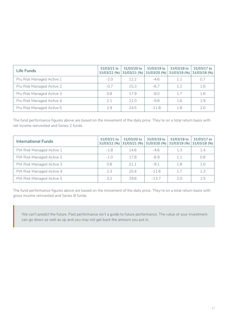| Life Funds                | 31/03/21 to<br>31/03/22 (%) | 31/03/20 to<br>31/03/21 (%) | 31/03/19 to<br>31/03/20 (%) | 31/03/18 to<br>31/03/19 (%) | 31/03/17 to<br>$31/03/18$ (%) |
|---------------------------|-----------------------------|-----------------------------|-----------------------------|-----------------------------|-------------------------------|
| Pru Risk Managed Active 1 | $-2.0$                      | 12.2                        | $-4.6$                      | 1.1                         | 0.7                           |
| Pru Risk Managed Active 2 | $-0.7$                      | 15.3                        | $-6.7$                      | 1.1                         | 1.6                           |
| Pru Risk Managed Active 3 | 0.8                         | 179                         | $-8.0$                      | 17                          | 1.6                           |
| Pru Risk Managed Active 4 | 2.1                         | 71.0                        | $-9.8$                      | 1.6                         | 1.9                           |
| Pru Risk Managed Active 5 | 2.9                         | 24.5                        | $-11.8$                     | 1.8                         | 2.0                           |

The fund performance figures above are based on the movement of the daily price. They're on a total return basis with net income reinvested and Series 2 funds.

| <b>International Funds</b> | 31/03/21 to<br>31/03/22 (%) | 31/03/20 to<br>31/03/21 (%) | 31/03/19 to<br>31/03/20 (%) | 31/03/18 to<br>31/03/19 (%) | 31/03/17 to<br>$31/03/18$ (%) |
|----------------------------|-----------------------------|-----------------------------|-----------------------------|-----------------------------|-------------------------------|
| PIA Risk Managed Active 1  | $-1.8$                      | 14.6                        | $-4.6$                      | 1.3                         | 1.4                           |
| PIA Risk Managed Active 2  | $-1.0$                      | 17.8                        | $-6.9$                      | 1.1                         | 0.8                           |
| PIA Risk Managed Active 3  | 0.8                         | 211                         | $-9.1$                      | 1.8                         | 1.0                           |
| PIA Risk Managed Active 4  | 2.3                         | 25.4                        | $-11.6$                     | 17                          | 1.3                           |
| PIA Risk Managed Active 5  | $3.2^{\circ}$               | 29.6                        | $-13.7$                     | 2.0                         | 1.5                           |

The fund performance figures above are based on the movement of the daily price. They're on a total return basis with gross income reinvested and Series B funds.

We can't predict the future. Past performance isn't a guide to future performance. The value of your investment can go down as well as up and you may not get back the amount you put in.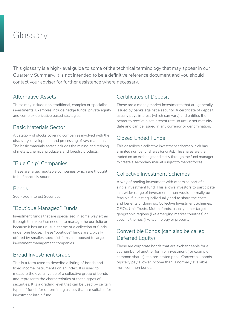### <span id="page-17-0"></span>Glossary

This glossary is a high-level guide to some of the technical terminology that may appear in our Quarterly Summary. It is not intended to be a definitive reference document and you should contact your adviser for further assistance where necessary.

#### Alternative Assets

These may include non-traditional, complex or specialist investments. Examples include hedge funds, private equity and complex derivative based strategies.

#### Basic Materials Sector

A category of stocks covering companies involved with the discovery, development and processing of raw materials. The basic materials sector includes the mining and refining of metals, chemical producers and forestry products.

#### "Blue Chip" Companies

These are large, reputable companies which are thought to be financially sound.

#### Bonds

See Fixed Interest Securities.

### "Boutique Managed" Funds

Investment funds that are specialised in some way either through the expertise needed to manage the portfolio or because it has an unusual theme or a collection of funds under one house. These "boutique" funds are typically offered by smaller, specialist firms as opposed to large investment management companies.

#### Broad Investment Grade

This is a term used to describe a listing of bonds and fixed income instruments on an index. It is used to measure the overall value of a collective group of bonds and represents the characteristics of these types of securities. It is a grading level that can be used by certain types of funds for determining assets that are suitable for investment into a fund.

#### Certificates of Deposit

These are a money market investments that are generally issued by banks against a security. A certificate of deposit usually pays interest (which can vary) and entitles the bearer to receive a set interest rate up until a set maturity date and can be issued in any currency or denomination.

#### Closed Ended Funds

This describes a collective investment scheme which has a limited number of shares (or units). The shares are then traded on an exchange or directly through the fund manager to create a secondary market subject to market forces.

#### Collective Investment Schemes

A way of pooling investment with others as part of a single investment fund. This allows investors to participate in a wider range of investments than would normally be feasible if investing individually and to share the costs and benefits of doing so. Collective Investment Schemes, OEICs, Unit Trusts, Mutual funds, usually either target geographic regions (like emerging market countries) or specific themes (like technology or property).

#### Convertible Bonds (can also be called Deferred Equity)

These are corporate bonds that are exchangeable for a set number of another form of investment (for example, common shares) at a pre-stated price. Convertible bonds typically pay a lower income than is normally available from common bonds.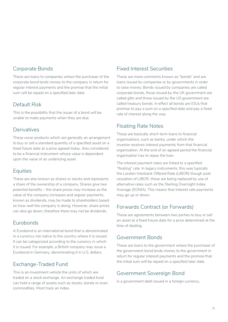#### Corporate Bonds

These are loans to companies where the purchaser of the corporate bond lends money to the company in return for regular interest payments and the promise that the initial sum will be repaid on a specified later date.

#### Default Risk

This is the possibility that the issuer of a bond will be unable to make payments when they are due.

#### **Derivatives**

These cover products which are generally an arrangement to buy or sell a standard quantity of a specified asset on a fixed future date at a price agreed today. Also considered to be a financial instrument whose value is dependent upon the value of an underlying asset.

#### **Equities**

These are also known as shares or stocks and represents a share of the ownership of a company. Shares give two potential benefits – the share prices may increase as the value of the company increases and regular payments, known as dividends, may be made to shareholders based on how well the company is doing. However, share prices can also go down, therefore there may not be dividends.

#### Eurobonds

A Eurobond is an international bond that is denominated in a currency not native to the country where it is issued. It can be categorized according to the currency in which it is issued. For example, a British company may issue a Eurobond in Germany, denominating it in U.S. dollars.

### Exchange-Traded Fund

This is an investment vehicle the units of which are traded on a stock exchange. An exchange traded fund can hold a range of assets such as stocks, bonds or even commodities. Most track an index.

#### Fixed Interest Securities

These are more commonly known as "bonds" and are loans issued by companies or by governments in order to raise money. Bonds issued by companies are called corporate bonds, those issued by the UK government are called gilts and those issued by the US government are called treasury bonds. In effect all bonds are IOUs that promise to pay a sum on a specified date and pay a fixed rate of interest along the way.

#### Floating Rate Notes

These are basically short-term loans to financial organisations, such as banks, under which the investor receives interest payments from that financial organisation. At the end of an agreed period the financial organisation has to repay the loan.

The interest payment rates are linked to a specified "floating" rate. In legacy instruments, this was typically the London Interbank Offered Rate (LIBOR) though post cessation of LIBOR, these are being replaced by use of alternative rates such as the Sterling Overnight Index Average (SONIA). This means that interest rate payments may go up or down.

#### Forwards Contract (or Forwards)

These are agreements between two parties to buy or sell an asset at a fixed future date for a price determined at the time of dealing.

#### Government Bonds

These are loans to the government where the purchaser of the government bond lends money to the government in return for regular interest payments and the promise that the initial sum will be repaid on a specified later date.

#### Government Sovereign Bond

Is a government debt issued in a foreign currency.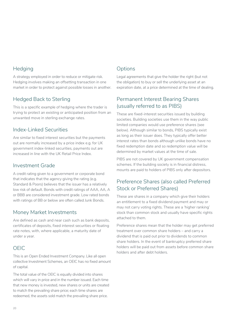#### **Hedging**

A strategy employed in order to reduce or mitigate risk. Hedging involves making an offsetting transaction in one market in order to protect against possible losses in another.

### Hedged Back to Sterling

This is a specific example of hedging where the trader is trying to protect an existing or anticipated position from an unwanted move in sterling exchange rates.

#### Index-Linked Securities

Are similar to fixed interest securities but the payments out are normally increased by a price index e.g. for UK government index-linked securities, payments out are increased in line with the UK Retail Price Index.

#### Investment Grade

A credit rating given to a government or corporate bond that indicates that the agency giving the rating (e.g. Standard & Poors) believes that the issuer has a relatively low risk of default. Bonds with credit ratings of AAA, AA, A or BBB are considered investment grade. Low rated bonds with ratings of BB or below are often called Junk Bonds.

#### Money Market Investments

Are defined as cash and near cash such as bank deposits, certificates of deposits, fixed interest securities or floating rate notes, with, where applicable, a maturity date of under a year.

### OEIC

This is an Open Ended Investment Company. Like all open collective Investment Schemes, an OEIC has no fixed amount of capital.

The total value of the OEIC is equally divided into shares which will vary in price and in the number issued. Each time that new money is invested, new shares or units are created to match the prevailing share price; each time shares are redeemed, the assets sold match the prevailing share price.

### **Options**

Legal agreements that give the holder the right (but not the obligation) to buy or sell the underlying asset at an expiration date, at a price determined at the time of dealing.

### Permanent Interest Bearing Shares (usually referred to as PIBS)

These are fixed-interest securities issued by building societies. Building societies use them in the way public limited companies would use preference shares (see below). Although similar to bonds, PIBS typically exist as long as their issuer does. They typically offer better interest rates than bonds although unlike bonds have no fixed redemption date and so redemption value will be determined by market values at the time of sale.

PIBS are not covered by UK government compensation schemes. If the building society is in financial distress, mounts are paid to holders of PIBS only after depositors.

### Preference Shares (also called Preferred Stock or Preferred Shares)

These are shares in a company which give their holders an entitlement to a fixed dividend payment and may or may not carry voting rights. These are a 'higher ranking' stock than common stock and usually have specific rights attached to them.

Preference shares mean that the holder may get preferred treatment over common share holders – and carry a dividend that is paid out prior to dividends to common share holders. In the event of bankruptcy preferred share holders will be paid out from assets before common share holders and after debt holders.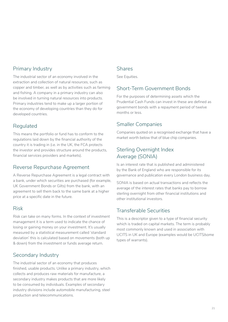#### Primary Industry

The industrial sector of an economy involved in the extraction and collection of natural resources, such as copper and timber, as well as by activities such as farming and fishing. A company in a primary industry can also be involved in turning natural resources into products. Primary industries tend to make up a larger portion of the economy of developing countries than they do for developed countries.

#### Regulated

This means the portfolio or fund has to conform to the regulations laid down by the financial authority of the country it is trading in (i.e. in the UK, the FCA protects the investor and provides structure around the products, financial services providers and markets).

#### Reverse Repurchase Agreement

A Reverse Repurchase Agreement is a legal contract with a bank, under which securities are purchased (for example, UK Government Bonds or Gilts) from the bank, with an agreement to sell them back to the same bank at a higher price at a specific date in the future.

#### Risk

Risk can take on many forms. In the context of investment management it is a term used to indicate the chance of losing or gaining money on your investment. It's usually measured by a statistical measurement called 'standard deviation' this is calculated based on movements (both up & down) from the investment or funds average return.

### Secondary Industry

The industrial sector of an economy that produces finished, usable products. Unlike a primary industry, which collects and produces raw materials for manufacture, a secondary industry makes products that are more likely to be consumed by individuals. Examples of secondary industry divisions include automobile manufacturing, steel production and telecommunications.

#### Shares

See Equities.

#### Short-Term Government Bonds

For the purposes of determining assets which the Prudential Cash Funds can invest in these are defined as government bonds with a repayment period of twelve months or less.

#### Smaller Companies

Companies quoted on a recognised exchange that have a market worth below that of blue chip companies.

### Sterling Overnight Index Average (SONIA)

Is an interest rate that is published and administered by the Bank of England who are responsible for its governance and publication every London business day.

SONIA is based on actual transactions and reflects the average of the interest rates that banks pay to borrow sterling overnight from other financial institutions and other institutional investors.

#### Transferable Securities

This is a descriptor given to a type of financial security which is traded on capital markets. The term is probably most commonly known and used in association with UCITS in UK and Europe (examples would be UCITS/some types of warrants).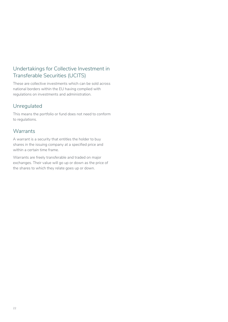### Undertakings for Collective Investment in Transferable Securities (UCITS)

These are collective investments which can be sold across national borders within the EU having complied with regulations on investments and administration.

#### Unregulated

This means the portfolio or fund does not need to conform to regulations.

#### **Warrants**

A warrant is a security that entitles the holder to buy shares in the issuing company at a specified price and within a certain time frame.

Warrants are freely transferable and traded on major exchanges. Their value will go up or down as the price of the shares to which they relate goes up or down.